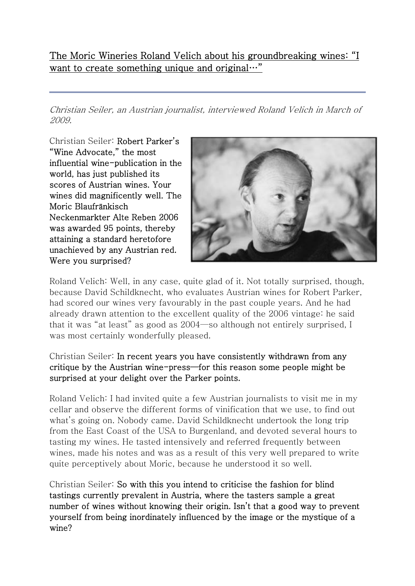The Moric Wineries Roland Velich about his groundbreaking wines: "I want to create something unique and original…"

Christian Seiler, an Austrian journalist, interviewed Roland Velich in March of 2009.

Christian Seiler: Robert Parker's "Wine Advocate," the most influential wine-publication in the world, has just published its scores of Austrian wines. Your wines did magnificently well. The Moric Blaufränkisch Neckenmarkter Alte Reben 2006 was awarded 95 points, thereby attaining a standard heretofore unachieved by any Austrian red. Were you surprised?



Roland Velich: Well, in any case, quite glad of it. Not totally surprised, though, because David Schildknecht, who evaluates Austrian wines for Robert Parker, had scored our wines very favourably in the past couple years. And he had already drawn attention to the excellent quality of the 2006 vintage: he said that it was "at least" as good as 2004—so although not entirely surprised, I was most certainly wonderfully pleased.

# Christian Seiler: In recent years you have consistently withdrawn from any critique by the Austrian wine-press—for this reason some people might be surprised at your delight over the Parker points.

Roland Velich: I had invited quite a few Austrian journalists to visit me in my cellar and observe the different forms of vinification that we use, to find out what's going on. Nobody came. David Schildknecht undertook the long trip from the East Coast of the USA to Burgenland, and devoted several hours to tasting my wines. He tasted intensively and referred frequently between wines, made his notes and was as a result of this very well prepared to write quite perceptively about Moric, because he understood it so well.

Christian Seiler: So with this you intend to criticise the fashion for blind tastings currently prevalent in Austria, where the tasters sample a great number of wines without knowing their origin. Isn't that a good way to prevent yourself from being inordinately influenced by the image or the mystique of a wine?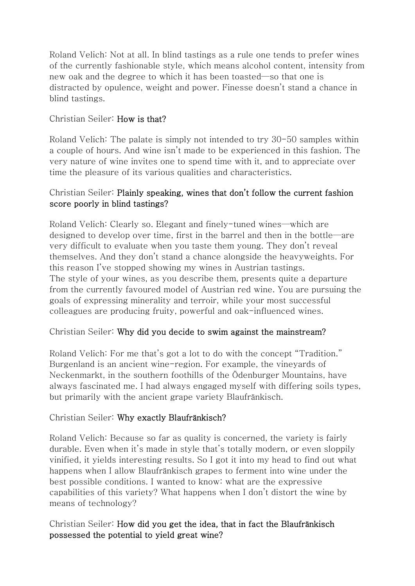Roland Velich: Not at all. In blind tastings as a rule one tends to prefer wines of the currently fashionable style, which means alcohol content, intensity from new oak and the degree to which it has been toasted—so that one is distracted by opulence, weight and power. Finesse doesn't stand a chance in blind tastings.

# Christian Seiler: How is that?

Roland Velich: The palate is simply not intended to try 30-50 samples within a couple of hours. And wine isn't made to be experienced in this fashion. The very nature of wine invites one to spend time with it, and to appreciate over time the pleasure of its various qualities and characteristics.

### Christian Seiler: Plainly speaking, wines that don't follow the current fashion score poorly in blind tastings?

Roland Velich: Clearly so. Elegant and finely-tuned wines—which are designed to develop over time, first in the barrel and then in the bottle—are very difficult to evaluate when you taste them young. They don't reveal themselves. And they don't stand a chance alongside the heavyweights. For this reason I've stopped showing my wines in Austrian tastings. The style of your wines, as you describe them, presents quite a departure from the currently favoured model of Austrian red wine. You are pursuing the goals of expressing minerality and terroir, while your most successful colleagues are producing fruity, powerful and oak-influenced wines.

# Christian Seiler: Why did you decide to swim against the mainstream?

Roland Velich: For me that's got a lot to do with the concept "Tradition." Burgenland is an ancient wine-region. For example, the vineyards of Neckenmarkt, in the southern foothills of the Ödenburger Mountains, have always fascinated me. I had always engaged myself with differing soils types, but primarily with the ancient grape variety Blaufränkisch.

#### Christian Seiler: Why exactly Blaufränkisch?

Roland Velich: Because so far as quality is concerned, the variety is fairly durable. Even when it's made in style that's totally modern, or even sloppily vinified, it yields interesting results. So I got it into my head to find out what happens when I allow Blaufränkisch grapes to ferment into wine under the best possible conditions. I wanted to know: what are the expressive capabilities of this variety? What happens when I don't distort the wine by means of technology?

# Christian Seiler: How did you get the idea, that in fact the Blaufränkisch possessed the potential to yield great wine?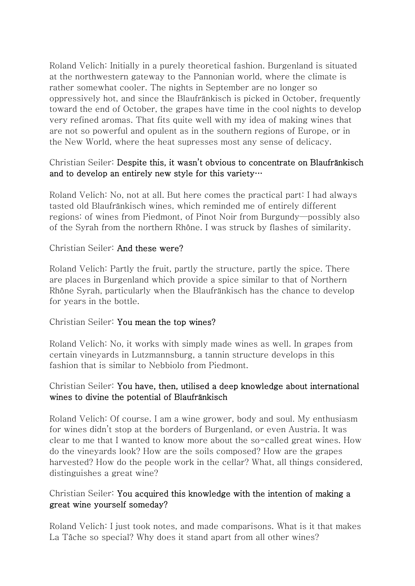Roland Velich: Initially in a purely theoretical fashion. Burgenland is situated at the northwestern gateway to the Pannonian world, where the climate is rather somewhat cooler. The nights in September are no longer so oppressively hot, and since the Blaufränkisch is picked in October, frequently toward the end of October, the grapes have time in the cool nights to develop very refined aromas. That fits quite well with my idea of making wines that are not so powerful and opulent as in the southern regions of Europe, or in the New World, where the heat supresses most any sense of delicacy.

### Christian Seiler: Despite this, it wasn't obvious to concentrate on Blaufränkisch and to develop an entirely new style for this variety…

Roland Velich: No, not at all. But here comes the practical part: I had always tasted old Blaufränkisch wines, which reminded me of entirely different regions: of wines from Piedmont, of Pinot Noir from Burgundy—possibly also of the Syrah from the northern Rhône. I was struck by flashes of similarity.

### Christian Seiler: And these were?

Roland Velich: Partly the fruit, partly the structure, partly the spice. There are places in Burgenland which provide a spice similar to that of Northern Rhône Syrah, particularly when the Blaufränkisch has the chance to develop for years in the bottle.

#### Christian Seiler: You mean the top wines?

Roland Velich: No, it works with simply made wines as well. In grapes from certain vineyards in Lutzmannsburg, a tannin structure develops in this fashion that is similar to Nebbiolo from Piedmont.

# Christian Seiler: You have, then, utilised a deep knowledge about international wines to divine the potential of Blaufränkisch

Roland Velich: Of course. I am a wine grower, body and soul. My enthusiasm for wines didn't stop at the borders of Burgenland, or even Austria. It was clear to me that I wanted to know more about the so-called great wines. How do the vineyards look? How are the soils composed? How are the grapes harvested? How do the people work in the cellar? What, all things considered, distinguishes a great wine?

# Christian Seiler: You acquired this knowledge with the intention of making a great wine yourself someday?

Roland Velich: I just took notes, and made comparisons. What is it that makes La Tâche so special? Why does it stand apart from all other wines?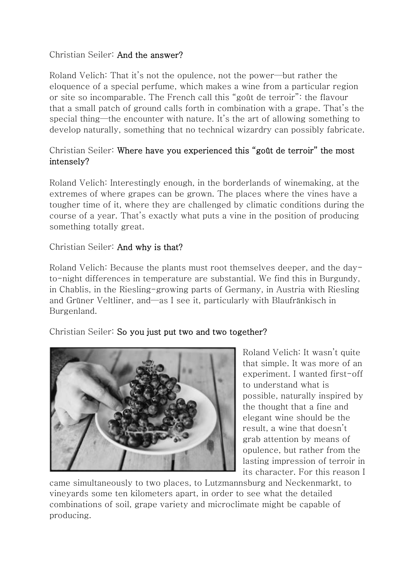# Christian Seiler: And the answer?

Roland Velich: That it's not the opulence, not the power—but rather the eloquence of a special perfume, which makes a wine from a particular region or site so incomparable. The French call this "goût de terroir": the flavour that a small patch of ground calls forth in combination with a grape. That's the special thing—the encounter with nature. It's the art of allowing something to develop naturally, something that no technical wizardry can possibly fabricate.

# Christian Seiler: Where have you experienced this "goût de terroir" the most intensely?

Roland Velich: Interestingly enough, in the borderlands of winemaking, at the extremes of where grapes can be grown. The places where the vines have a tougher time of it, where they are challenged by climatic conditions during the course of a year. That's exactly what puts a vine in the position of producing something totally great.

# Christian Seiler: And why is that?

Roland Velich: Because the plants must root themselves deeper, and the dayto-night differences in temperature are substantial. We find this in Burgundy, in Chablis, in the Riesling-growing parts of Germany, in Austria with Riesling and Grüner Veltliner, and—as I see it, particularly with Blaufränkisch in Burgenland.

Christian Seiler: So you just put two and two together?



Roland Velich: It wasn't quite that simple. It was more of an experiment. I wanted first-off to understand what is possible, naturally inspired by the thought that a fine and elegant wine should be the result, a wine that doesn't grab attention by means of opulence, but rather from the lasting impression of terroir in its character. For this reason I

came simultaneously to two places, to Lutzmannsburg and Neckenmarkt, to vineyards some ten kilometers apart, in order to see what the detailed combinations of soil, grape variety and microclimate might be capable of producing.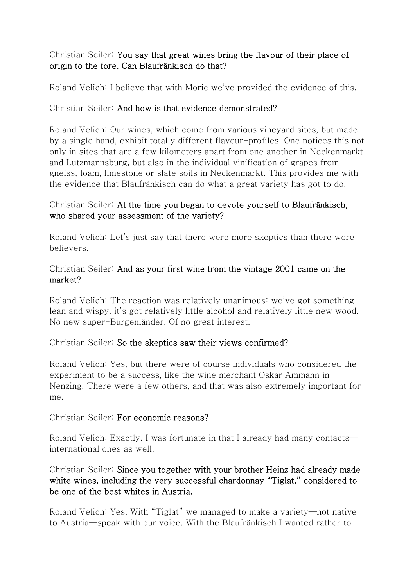# Christian Seiler: You say that great wines bring the flavour of their place of origin to the fore. Can Blaufränkisch do that?

Roland Velich: I believe that with Moric we've provided the evidence of this.

# Christian Seiler: And how is that evidence demonstrated?

Roland Velich: Our wines, which come from various vineyard sites, but made by a single hand, exhibit totally different flavour-profiles. One notices this not only in sites that are a few kilometers apart from one another in Neckenmarkt and Lutzmannsburg, but also in the individual vinification of grapes from gneiss, loam, limestone or slate soils in Neckenmarkt. This provides me with the evidence that Blaufränkisch can do what a great variety has got to do.

### Christian Seiler: At the time you began to devote yourself to Blaufränkisch, who shared your assessment of the variety?

Roland Velich: Let's just say that there were more skeptics than there were believers.

### Christian Seiler: And as your first wine from the vintage 2001 came on the market?

Roland Velich: The reaction was relatively unanimous: we've got something lean and wispy, it's got relatively little alcohol and relatively little new wood. No new super-Burgenländer. Of no great interest.

#### Christian Seiler: So the skeptics saw their views confirmed?

Roland Velich: Yes, but there were of course individuals who considered the experiment to be a success, like the wine merchant Oskar Ammann in Nenzing. There were a few others, and that was also extremely important for me.

#### Christian Seiler: For economic reasons?

Roland Velich: Exactly. I was fortunate in that I already had many contacts international ones as well.

# Christian Seiler: Since you together with your brother Heinz had already made white wines, including the very successful chardonnay "Tiglat," considered to be one of the best whites in Austria.

Roland Velich: Yes. With "Tiglat" we managed to make a variety—not native to Austria—speak with our voice. With the Blaufränkisch I wanted rather to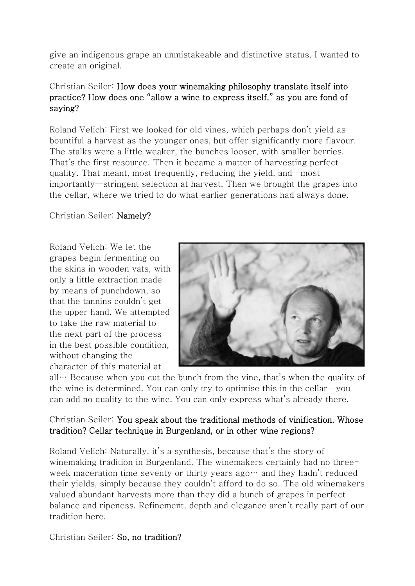give an indigenous grape an unmistakeable and distinctive status. I wanted to create an original.

# Christian Seiler: How does your winemaking philosophy translate itself into practice? How does one "allow a wine to express itself," as you are fond of saying?

Roland Velich: First we looked for old vines, which perhaps don't yield as bountiful a harvest as the younger ones, but offer significantly more flavour. The stalks were a little weaker, the bunches looser, with smaller berries. That's the first resource. Then it became a matter of harvesting perfect quality. That meant, most frequently, reducing the yield, and—most importantly—stringent selection at harvest. Then we brought the grapes into the cellar, where we tried to do what earlier generations had always done.

### Christian Seiler: Namely?

Roland Velich: We let the grapes begin fermenting on the skins in wooden vats, with only a little extraction made by means of punchdown, so that the tannins couldn't get the upper hand. We attempted to take the raw material to the next part of the process in the best possible condition, without changing the character of this material at



all… Because when you cut the bunch from the vine, that's when the quality of the wine is determined. You can only try to optimise this in the cellar—you can add no quality to the wine. You can only express what's already there.

### Christian Seiler: You speak about the traditional methods of vinification. Whose tradition? Cellar technique in Burgenland, or in other wine regions?

Roland Velich: Naturally, it's a synthesis, because that's the story of winemaking tradition in Burgenland. The winemakers certainly had no threeweek maceration time seventy or thirty years ago… and they hadn't reduced their yields, simply because they couldn't afford to do so. The old winemakers valued abundant harvests more than they did a bunch of grapes in perfect balance and ripeness. Refinement, depth and elegance aren't really part of our tradition here.

Christian Seiler: So, no tradition?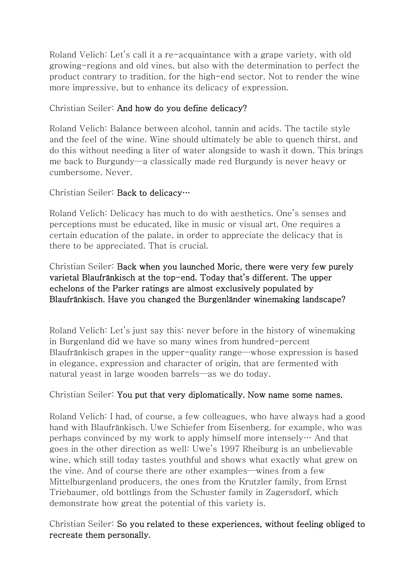Roland Velich: Let's call it a re-acquaintance with a grape variety, with old growing-regions and old vines, but also with the determination to perfect the product contrary to tradition, for the high-end sector. Not to render the wine more impressive, but to enhance its delicacy of expression.

# Christian Seiler: And how do you define delicacy?

Roland Velich: Balance between alcohol, tannin and acids. The tactile style and the feel of the wine. Wine should ultimately be able to quench thirst, and do this without needing a liter of water alongside to wash it down. This brings me back to Burgundy—a classically made red Burgundy is never heavy or cumbersome. Never.

#### Christian Seiler: Back to delicacy…

Roland Velich: Delicacy has much to do with aesthetics. One's senses and perceptions must be educated, like in music or visual art. One requires a certain education of the palate, in order to appreciate the delicacy that is there to be appreciated. That is crucial.

## Christian Seiler: Back when you launched Moric, there were very few purely varietal Blaufränkisch at the top-end. Today that's different. The upper echelons of the Parker ratings are almost exclusively populated by Blaufränkisch. Have you changed the Burgenländer winemaking landscape?

Roland Velich: Let's just say this: never before in the history of winemaking in Burgenland did we have so many wines from hundred-percent Blaufränkisch grapes in the upper-quality range—whose expression is based in elegance, expression and character of origin, that are fermented with natural yeast in large wooden barrels—as we do today.

#### Christian Seiler: You put that very diplomatically. Now name some names.

Roland Velich: I had, of course, a few colleagues, who have always had a good hand with Blaufränkisch. Uwe Schiefer from Eisenberg, for example, who was perhaps convinced by my work to apply himself more intensely… And that goes in the other direction as well: Uwe's 1997 Rheiburg is an unbelievable wine, which still today tastes youthful and shows what exactly what grew on the vine. And of course there are other examples—wines from a few Mittelburgenland producers, the ones from the Krutzler family, from Ernst Triebaumer, old bottlings from the Schuster family in Zagersdorf, which demonstrate how great the potential of this variety is.

Christian Seiler: So you related to these experiences, without feeling obliged to recreate them personally.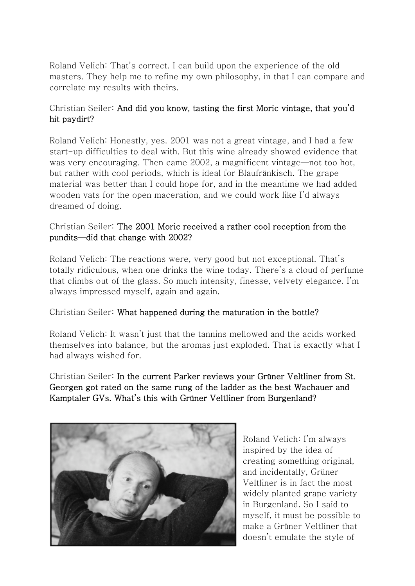Roland Velich: That's correct. I can build upon the experience of the old masters. They help me to refine my own philosophy, in that I can compare and correlate my results with theirs.

# Christian Seiler: And did you know, tasting the first Moric vintage, that you'd hit paydirt?

Roland Velich: Honestly, yes. 2001 was not a great vintage, and I had a few start-up difficulties to deal with. But this wine already showed evidence that was very encouraging. Then came 2002, a magnificent vintage—not too hot, but rather with cool periods, which is ideal for Blaufränkisch. The grape material was better than I could hope for, and in the meantime we had added wooden vats for the open maceration, and we could work like I'd always dreamed of doing.

# Christian Seiler: The 2001 Moric received a rather cool reception from the pundits—did that change with 2002?

Roland Velich: The reactions were, very good but not exceptional. That's totally ridiculous, when one drinks the wine today. There's a cloud of perfume that climbs out of the glass. So much intensity, finesse, velvety elegance. I'm always impressed myself, again and again.

# Christian Seiler: What happened during the maturation in the bottle?

Roland Velich: It wasn't just that the tannins mellowed and the acids worked themselves into balance, but the aromas just exploded. That is exactly what I had always wished for.

Christian Seiler: In the current Parker reviews your Grüner Veltliner from St. Georgen got rated on the same rung of the ladder as the best Wachauer and Kamptaler GVs. What's this with Grüner Veltliner from Burgenland?



Roland Velich: I'm always inspired by the idea of creating something original, and incidentally, Grüner Veltliner is in fact the most widely planted grape variety in Burgenland. So I said to myself, it must be possible to make a Grüner Veltliner that doesn't emulate the style of